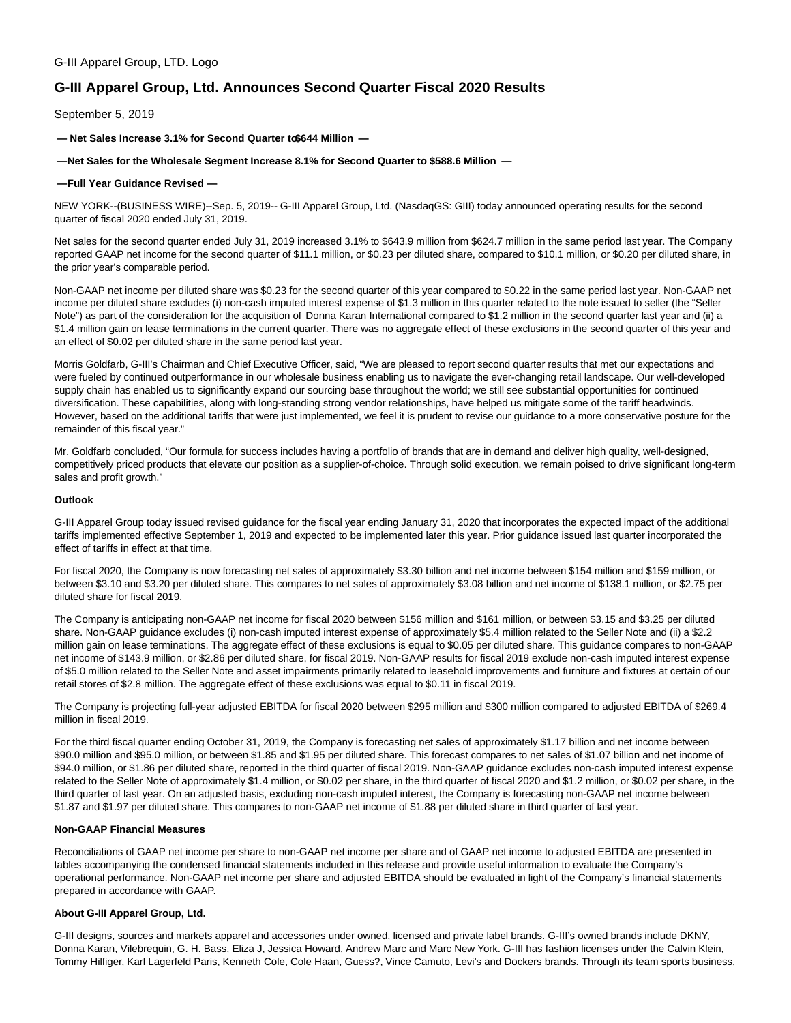# G-III Apparel Group, LTD. Logo

# **G-III Apparel Group, Ltd. Announces Second Quarter Fiscal 2020 Results**

September 5, 2019

 $-$  Net Sales Increase 3.1% for Second Quarter to \$644 Million  $-$ 

#### **— Net Sales for the Wholesale Segment Increase 8.1% for Second Quarter to \$588.6 Million —**

#### **— Full Year Guidance Revised —**

NEW YORK--(BUSINESS WIRE)--Sep. 5, 2019-- G-III Apparel Group, Ltd. (NasdaqGS: GIII) today announced operating results for the second quarter of fiscal 2020 ended July 31, 2019.

Net sales for the second quarter ended July 31, 2019 increased 3.1% to \$643.9 million from \$624.7 million in the same period last year. The Company reported GAAP net income for the second quarter of \$11.1 million, or \$0.23 per diluted share, compared to \$10.1 million, or \$0.20 per diluted share, in the prior year's comparable period.

Non-GAAP net income per diluted share was \$0.23 for the second quarter of this year compared to \$0.22 in the same period last year. Non-GAAP net income per diluted share excludes (i) non-cash imputed interest expense of \$1.3 million in this quarter related to the note issued to seller (the "Seller Note") as part of the consideration for the acquisition of Donna Karan International compared to \$1.2 million in the second quarter last year and (ii) a \$1.4 million gain on lease terminations in the current quarter. There was no aggregate effect of these exclusions in the second quarter of this year and an effect of \$0.02 per diluted share in the same period last year.

Morris Goldfarb, G-III's Chairman and Chief Executive Officer, said, "We are pleased to report second quarter results that met our expectations and were fueled by continued outperformance in our wholesale business enabling us to navigate the ever-changing retail landscape. Our well-developed supply chain has enabled us to significantly expand our sourcing base throughout the world; we still see substantial opportunities for continued diversification. These capabilities, along with long-standing strong vendor relationships, have helped us mitigate some of the tariff headwinds. However, based on the additional tariffs that were just implemented, we feel it is prudent to revise our guidance to a more conservative posture for the remainder of this fiscal year."

Mr. Goldfarb concluded, "Our formula for success includes having a portfolio of brands that are in demand and deliver high quality, well-designed, competitively priced products that elevate our position as a supplier-of-choice. Through solid execution, we remain poised to drive significant long-term sales and profit growth."

#### **Outlook**

G-III Apparel Group today issued revised guidance for the fiscal year ending January 31, 2020 that incorporates the expected impact of the additional tariffs implemented effective September 1, 2019 and expected to be implemented later this year. Prior guidance issued last quarter incorporated the effect of tariffs in effect at that time.

For fiscal 2020, the Company is now forecasting net sales of approximately \$3.30 billion and net income between \$154 million and \$159 million, or between \$3.10 and \$3.20 per diluted share. This compares to net sales of approximately \$3.08 billion and net income of \$138.1 million, or \$2.75 per diluted share for fiscal 2019.

The Company is anticipating non-GAAP net income for fiscal 2020 between \$156 million and \$161 million, or between \$3.15 and \$3.25 per diluted share. Non-GAAP guidance excludes (i) non-cash imputed interest expense of approximately \$5.4 million related to the Seller Note and (ii) a \$2.2 million gain on lease terminations. The aggregate effect of these exclusions is equal to \$0.05 per diluted share. This guidance compares to non-GAAP net income of \$143.9 million, or \$2.86 per diluted share, for fiscal 2019. Non-GAAP results for fiscal 2019 exclude non-cash imputed interest expense of \$5.0 million related to the Seller Note and asset impairments primarily related to leasehold improvements and furniture and fixtures at certain of our retail stores of \$2.8 million. The aggregate effect of these exclusions was equal to \$0.11 in fiscal 2019.

The Company is projecting full-year adjusted EBITDA for fiscal 2020 between \$295 million and \$300 million compared to adjusted EBITDA of \$269.4 million in fiscal 2019.

For the third fiscal quarter ending October 31, 2019, the Company is forecasting net sales of approximately \$1.17 billion and net income between \$90.0 million and \$95.0 million, or between \$1.85 and \$1.95 per diluted share. This forecast compares to net sales of \$1.07 billion and net income of \$94.0 million, or \$1.86 per diluted share, reported in the third quarter of fiscal 2019. Non-GAAP guidance excludes non-cash imputed interest expense related to the Seller Note of approximately \$1.4 million, or \$0.02 per share, in the third quarter of fiscal 2020 and \$1.2 million, or \$0.02 per share, in the third quarter of last year. On an adjusted basis, excluding non-cash imputed interest, the Company is forecasting non-GAAP net income between \$1.87 and \$1.97 per diluted share. This compares to non-GAAP net income of \$1.88 per diluted share in third quarter of last year.

### **Non-GAAP Financial Measures**

Reconciliations of GAAP net income per share to non-GAAP net income per share and of GAAP net income to adjusted EBITDA are presented in tables accompanying the condensed financial statements included in this release and provide useful information to evaluate the Company's operational performance. Non-GAAP net income per share and adjusted EBITDA should be evaluated in light of the Company's financial statements prepared in accordance with GAAP.

#### **About G-III Apparel Group, Ltd.**

G-III designs, sources and markets apparel and accessories under owned, licensed and private label brands. G-III's owned brands include DKNY, Donna Karan, Vilebrequin, G. H. Bass, Eliza J, Jessica Howard, Andrew Marc and Marc New York. G-III has fashion licenses under the Calvin Klein, Tommy Hilfiger, Karl Lagerfeld Paris, Kenneth Cole, Cole Haan, Guess?, Vince Camuto, Levi's and Dockers brands. Through its team sports business,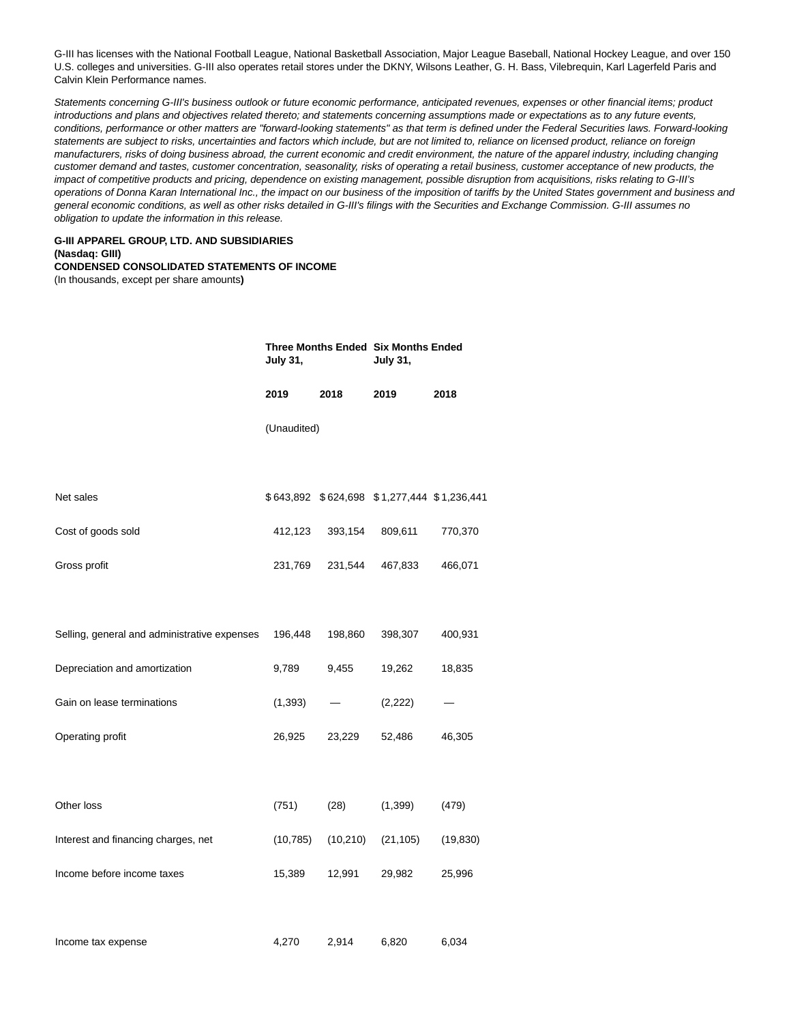G-III has licenses with the National Football League, National Basketball Association, Major League Baseball, National Hockey League, and over 150 U.S. colleges and universities. G-III also operates retail stores under the DKNY, Wilsons Leather, G. H. Bass, Vilebrequin, Karl Lagerfeld Paris and Calvin Klein Performance names.

Statements concerning G-III's business outlook or future economic performance, anticipated revenues, expenses or other financial items; product introductions and plans and objectives related thereto; and statements concerning assumptions made or expectations as to any future events, conditions, performance or other matters are "forward-looking statements" as that term is defined under the Federal Securities laws. Forward-looking statements are subject to risks, uncertainties and factors which include, but are not limited to, reliance on licensed product, reliance on foreign manufacturers, risks of doing business abroad, the current economic and credit environment, the nature of the apparel industry, including changing customer demand and tastes, customer concentration, seasonality, risks of operating a retail business, customer acceptance of new products, the impact of competitive products and pricing, dependence on existing management, possible disruption from acquisitions, risks relating to G-III's operations of Donna Karan International Inc., the impact on our business of the imposition of tariffs by the United States government and business and general economic conditions, as well as other risks detailed in G-III's filings with the Securities and Exchange Commission. G-III assumes no obligation to update the information in this release.

#### **G-III APPAREL GROUP, LTD. AND SUBSIDIARIES (Nasdaq: GIII) CONDENSED CONSOLIDATED STATEMENTS OF INCOME**

(In thousands, except per share amounts**)**

|                                              | Three Months Ended Six Months Ended<br><b>July 31,</b> |           | <b>July 31,</b>                             |           |  |
|----------------------------------------------|--------------------------------------------------------|-----------|---------------------------------------------|-----------|--|
|                                              | 2019                                                   | 2018      | 2019                                        | 2018      |  |
|                                              | (Unaudited)                                            |           |                                             |           |  |
|                                              |                                                        |           |                                             |           |  |
| Net sales                                    |                                                        |           | \$643,892 \$624,698 \$1,277,444 \$1,236,441 |           |  |
| Cost of goods sold                           | 412,123                                                | 393,154   | 809,611                                     | 770,370   |  |
| Gross profit                                 | 231,769                                                | 231,544   | 467,833                                     | 466,071   |  |
|                                              |                                                        |           |                                             |           |  |
| Selling, general and administrative expenses | 196,448                                                | 198,860   | 398,307                                     | 400,931   |  |
| Depreciation and amortization                | 9,789                                                  | 9,455     | 19,262                                      | 18,835    |  |
| Gain on lease terminations                   | (1, 393)                                               |           | (2, 222)                                    |           |  |
| Operating profit                             | 26,925                                                 | 23,229    | 52,486                                      | 46,305    |  |
|                                              |                                                        |           |                                             |           |  |
| Other loss                                   | (751)                                                  | (28)      | (1, 399)                                    | (479)     |  |
| Interest and financing charges, net          | (10, 785)                                              | (10, 210) | (21, 105)                                   | (19, 830) |  |
| Income before income taxes                   | 15,389                                                 | 12,991    | 29,982                                      | 25,996    |  |
|                                              |                                                        |           |                                             |           |  |
| Income tax expense                           | 4,270                                                  | 2,914     | 6,820                                       | 6,034     |  |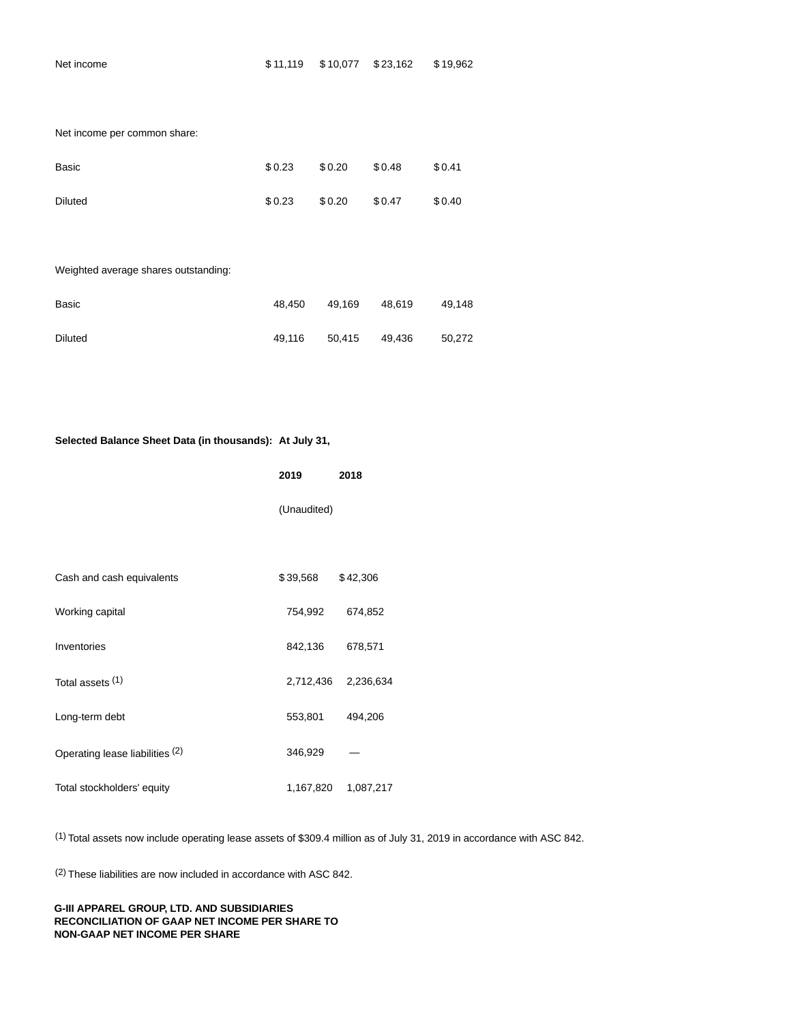Net income per common share:

| Basic          | \$0.23 | \$0.20 | \$0.48 | \$0.41 |
|----------------|--------|--------|--------|--------|
| <b>Diluted</b> | \$0.23 | \$0.20 | \$0.47 | \$0.40 |

# Weighted average shares outstanding:

| Basic   | 48.450 | 49.169 | 48.619 | 49.148 |
|---------|--------|--------|--------|--------|
| Diluted | 49.116 | 50.415 | 49.436 | 50.272 |

# **Selected Balance Sheet Data (in thousands): At July 31,**

|                                 | 2019        | 2018      |
|---------------------------------|-------------|-----------|
|                                 | (Unaudited) |           |
|                                 |             |           |
| Cash and cash equivalents       | \$39,568    | \$42,306  |
| Working capital                 | 754,992     | 674,852   |
| Inventories                     | 842,136     | 678,571   |
| Total assets (1)                | 2,712,436   | 2,236,634 |
| Long-term debt                  | 553,801     | 494,206   |
| Operating lease liabilities (2) | 346,929     |           |
| Total stockholders' equity      | 1,167,820   | 1,087,217 |

(1) Total assets now include operating lease assets of \$309.4 million as of July 31, 2019 in accordance with ASC 842.

(2) These liabilities are now included in accordance with ASC 842.

# **G-III APPAREL GROUP, LTD. AND SUBSIDIARIES RECONCILIATION OF GAAP NET INCOME PER SHARE TO NON-GAAP NET INCOME PER SHARE**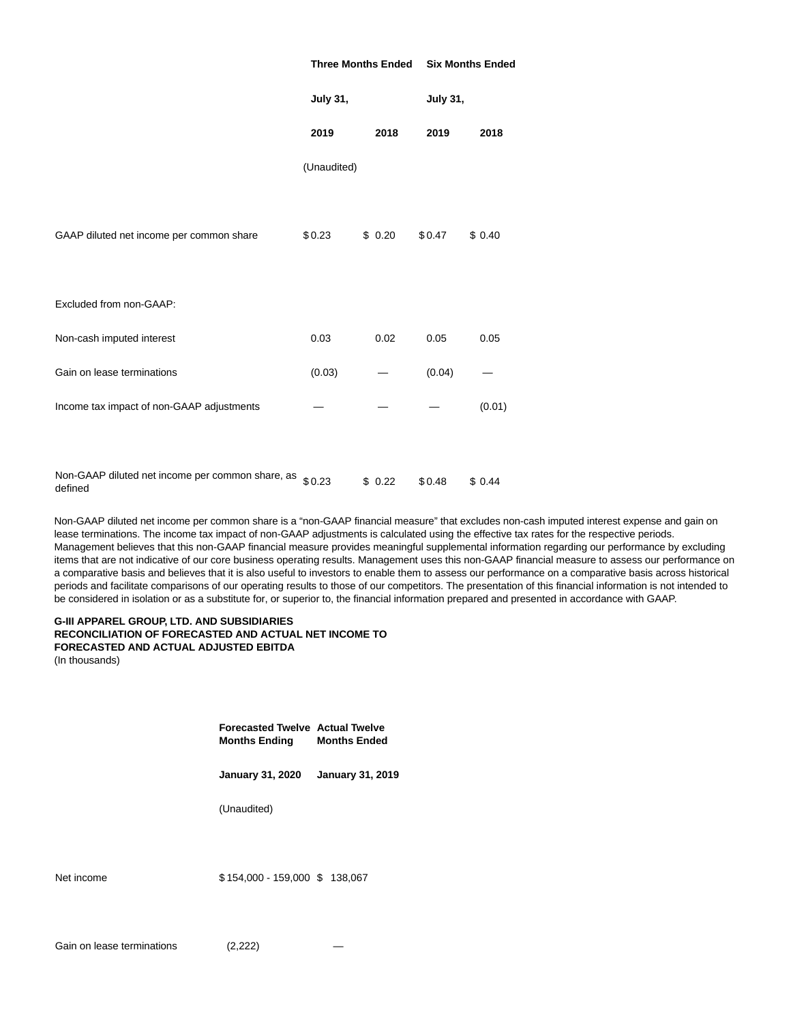|                                                                     | <b>Three Months Ended</b> |        | <b>Six Months Ended</b> |        |
|---------------------------------------------------------------------|---------------------------|--------|-------------------------|--------|
|                                                                     | <b>July 31,</b>           |        | <b>July 31,</b>         |        |
|                                                                     | 2019                      | 2018   | 2019                    | 2018   |
|                                                                     | (Unaudited)               |        |                         |        |
| GAAP diluted net income per common share                            | \$0.23                    | \$0.20 | \$0.47                  | \$0.40 |
| Excluded from non-GAAP:                                             |                           |        |                         |        |
| Non-cash imputed interest                                           | 0.03                      | 0.02   | 0.05                    | 0.05   |
| Gain on lease terminations                                          | (0.03)                    |        | (0.04)                  |        |
| Income tax impact of non-GAAP adjustments                           |                           |        |                         | (0.01) |
|                                                                     |                           |        |                         |        |
| Non-GAAP diluted net income per common share, as $$0.23$<br>defined |                           | \$0.22 | \$0.48                  | \$0.44 |

Non-GAAP diluted net income per common share is a "non-GAAP financial measure" that excludes non-cash imputed interest expense and gain on lease terminations. The income tax impact of non-GAAP adjustments is calculated using the effective tax rates for the respective periods. Management believes that this non-GAAP financial measure provides meaningful supplemental information regarding our performance by excluding items that are not indicative of our core business operating results. Management uses this non-GAAP financial measure to assess our performance on a comparative basis and believes that it is also useful to investors to enable them to assess our performance on a comparative basis across historical periods and facilitate comparisons of our operating results to those of our competitors. The presentation of this financial information is not intended to be considered in isolation or as a substitute for, or superior to, the financial information prepared and presented in accordance with GAAP.

# **G-III APPAREL GROUP, LTD. AND SUBSIDIARIES RECONCILIATION OF FORECASTED AND ACTUAL NET INCOME TO FORECASTED AND ACTUAL ADJUSTED EBITDA**

(In thousands)

**Forecasted Twelve Actual Twelve Months Ending Months Ended**

**January 31, 2020 January 31, 2019**

(Unaudited)

Net income \$154,000 - 159,000 \$138,067

Gain on lease terminations (2,222)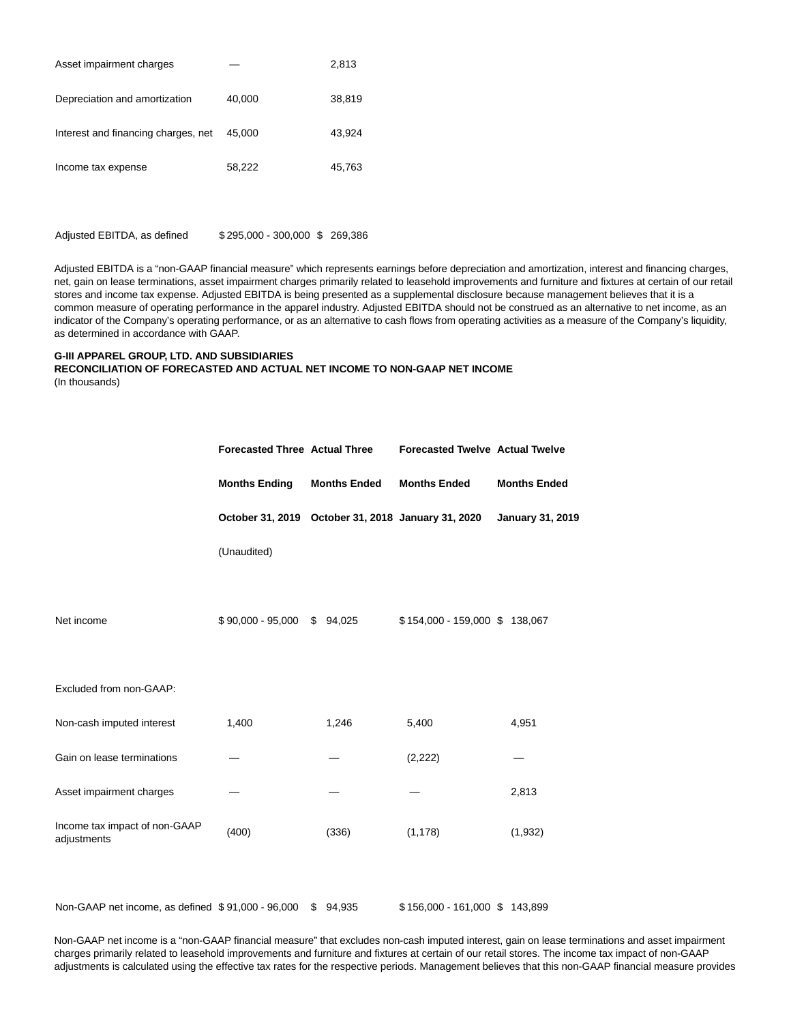| Asset impairment charges            |        | 2,813  |
|-------------------------------------|--------|--------|
| Depreciation and amortization       | 40,000 | 38,819 |
| Interest and financing charges, net | 45.000 | 43.924 |
| Income tax expense                  | 58,222 | 45,763 |

Adjusted EBITDA, as defined \$ 295,000 - 300,000 \$ 269,386

Adjusted EBITDA is a "non-GAAP financial measure" which represents earnings before depreciation and amortization, interest and financing charges, net, gain on lease terminations, asset impairment charges primarily related to leasehold improvements and furniture and fixtures at certain of our retail stores and income tax expense. Adjusted EBITDA is being presented as a supplemental disclosure because management believes that it is a common measure of operating performance in the apparel industry. Adjusted EBITDA should not be construed as an alternative to net income, as an indicator of the Company's operating performance, or as an alternative to cash flows from operating activities as a measure of the Company's liquidity, as determined in accordance with GAAP.

#### **G-III APPAREL GROUP, LTD. AND SUBSIDIARIES RECONCILIATION OF FORECASTED AND ACTUAL NET INCOME TO NON-GAAP NET INCOME** (In thousands)

| <b>Months Ending</b> | <b>Months Ended</b> | <b>Months Ended</b>                                       | <b>Months Ended</b>                                                                                                           |  |  |
|----------------------|---------------------|-----------------------------------------------------------|-------------------------------------------------------------------------------------------------------------------------------|--|--|
|                      |                     |                                                           | <b>January 31, 2019</b>                                                                                                       |  |  |
| (Unaudited)          |                     |                                                           |                                                                                                                               |  |  |
|                      |                     |                                                           |                                                                                                                               |  |  |
|                      | \$94,025            |                                                           |                                                                                                                               |  |  |
|                      |                     |                                                           |                                                                                                                               |  |  |
|                      |                     |                                                           |                                                                                                                               |  |  |
| 1,400                | 1,246               | 5,400                                                     | 4,951                                                                                                                         |  |  |
|                      |                     | (2, 222)                                                  |                                                                                                                               |  |  |
|                      |                     |                                                           | 2,813                                                                                                                         |  |  |
| (400)                | (336)               | (1, 178)                                                  | (1,932)                                                                                                                       |  |  |
|                      |                     |                                                           |                                                                                                                               |  |  |
|                      |                     | <b>Forecasted Three Actual Three</b><br>\$90,000 - 95,000 | <b>Forecasted Twelve Actual Twelve</b><br>October 31, 2019 October 31, 2018 January 31, 2020<br>\$154,000 - 159,000 \$138,067 |  |  |

Non-GAAP net income, as defined \$91,000 - 96,000 \$94,935 \$156,000 - 161,000 \$143,899

Non-GAAP net income is a "non-GAAP financial measure" that excludes non-cash imputed interest, gain on lease terminations and asset impairment charges primarily related to leasehold improvements and furniture and fixtures at certain of our retail stores. The income tax impact of non-GAAP adjustments is calculated using the effective tax rates for the respective periods. Management believes that this non-GAAP financial measure provides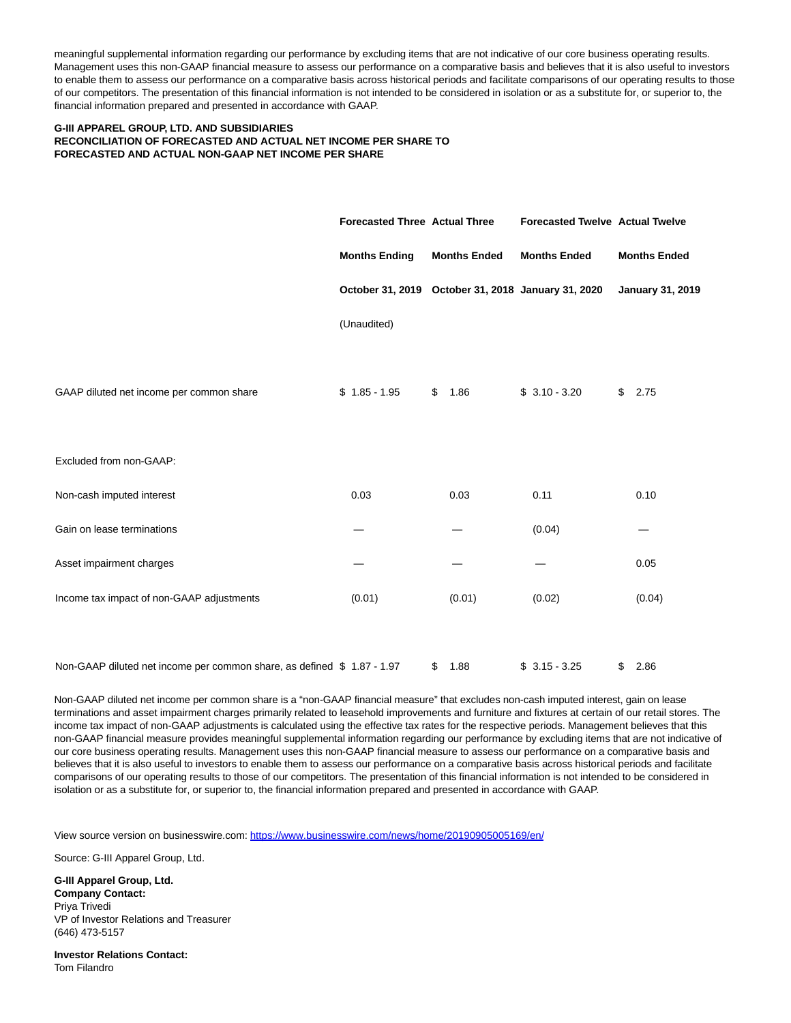meaningful supplemental information regarding our performance by excluding items that are not indicative of our core business operating results. Management uses this non-GAAP financial measure to assess our performance on a comparative basis and believes that it is also useful to investors to enable them to assess our performance on a comparative basis across historical periods and facilitate comparisons of our operating results to those of our competitors. The presentation of this financial information is not intended to be considered in isolation or as a substitute for, or superior to, the financial information prepared and presented in accordance with GAAP.

# **G-III APPAREL GROUP, LTD. AND SUBSIDIARIES RECONCILIATION OF FORECASTED AND ACTUAL NET INCOME PER SHARE TO FORECASTED AND ACTUAL NON-GAAP NET INCOME PER SHARE**

|                                                                         |                      | <b>Forecasted Three Actual Three</b> |                     | <b>Forecasted Twelve Actual Twelve</b>             |    |                         |  |
|-------------------------------------------------------------------------|----------------------|--------------------------------------|---------------------|----------------------------------------------------|----|-------------------------|--|
|                                                                         | <b>Months Ending</b> |                                      | <b>Months Ended</b> | <b>Months Ended</b>                                |    | <b>Months Ended</b>     |  |
|                                                                         |                      |                                      |                     | October 31, 2019 October 31, 2018 January 31, 2020 |    | <b>January 31, 2019</b> |  |
|                                                                         | (Unaudited)          |                                      |                     |                                                    |    |                         |  |
|                                                                         |                      |                                      |                     |                                                    |    |                         |  |
| GAAP diluted net income per common share                                | $$1.85 - 1.95$       | \$                                   | 1.86                | $$3.10 - 3.20$                                     | \$ | 2.75                    |  |
|                                                                         |                      |                                      |                     |                                                    |    |                         |  |
| Excluded from non-GAAP:                                                 |                      |                                      |                     |                                                    |    |                         |  |
| Non-cash imputed interest                                               | 0.03                 |                                      | 0.03                | 0.11                                               |    | 0.10                    |  |
| Gain on lease terminations                                              |                      |                                      |                     | (0.04)                                             |    |                         |  |
| Asset impairment charges                                                |                      |                                      |                     |                                                    |    | 0.05                    |  |
| Income tax impact of non-GAAP adjustments                               | (0.01)               |                                      | (0.01)              | (0.02)                                             |    | (0.04)                  |  |
|                                                                         |                      |                                      |                     |                                                    |    |                         |  |
| Non-GAAP diluted net income per common share, as defined \$ 1.87 - 1.97 |                      | \$                                   | 1.88                | $$3.15 - 3.25$                                     | \$ | 2.86                    |  |

Non-GAAP diluted net income per common share is a "non-GAAP financial measure" that excludes non-cash imputed interest, gain on lease terminations and asset impairment charges primarily related to leasehold improvements and furniture and fixtures at certain of our retail stores. The income tax impact of non-GAAP adjustments is calculated using the effective tax rates for the respective periods. Management believes that this non-GAAP financial measure provides meaningful supplemental information regarding our performance by excluding items that are not indicative of our core business operating results. Management uses this non-GAAP financial measure to assess our performance on a comparative basis and believes that it is also useful to investors to enable them to assess our performance on a comparative basis across historical periods and facilitate comparisons of our operating results to those of our competitors. The presentation of this financial information is not intended to be considered in isolation or as a substitute for, or superior to, the financial information prepared and presented in accordance with GAAP.

View source version on businesswire.com:<https://www.businesswire.com/news/home/20190905005169/en/>

Source: G-III Apparel Group, Ltd.

**G-III Apparel Group, Ltd. Company Contact:** Priya Trivedi VP of Investor Relations and Treasurer (646) 473-5157

**Investor Relations Contact:** Tom Filandro